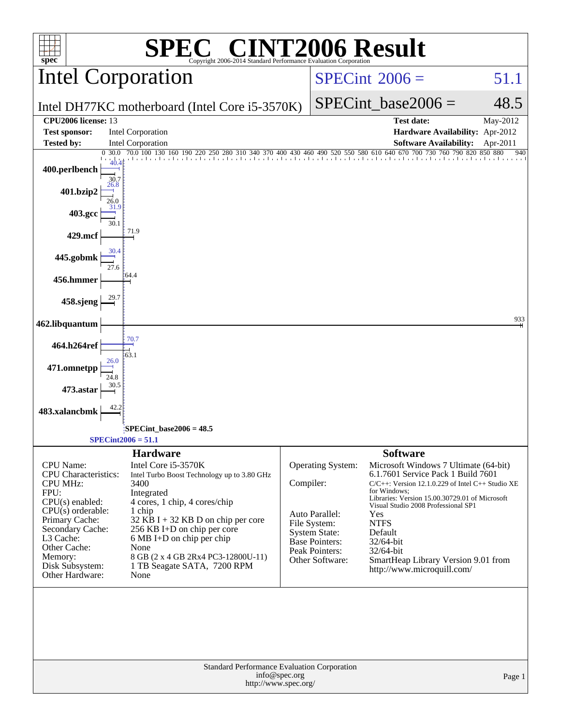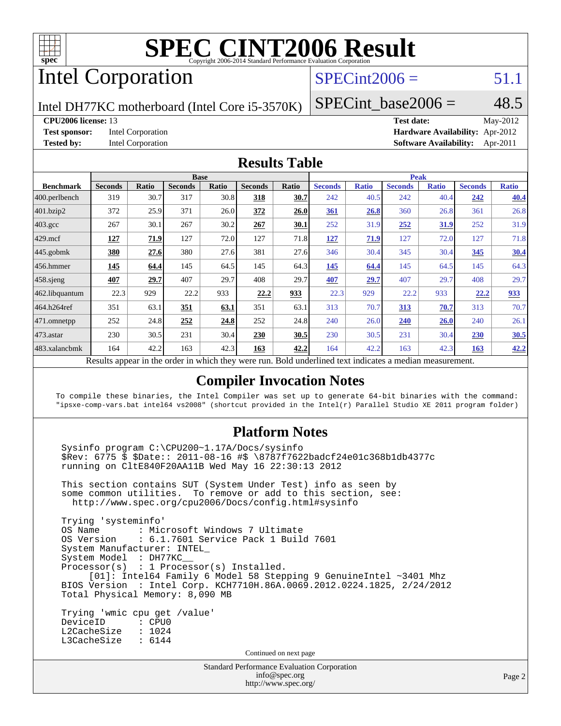

# Intel Corporation

## $SPECint2006 = 51.1$  $SPECint2006 = 51.1$

Intel DH77KC motherboard (Intel Core i5-3570K)

#### **[CPU2006 license:](http://www.spec.org/auto/cpu2006/Docs/result-fields.html#CPU2006license)** 13 **[Test date:](http://www.spec.org/auto/cpu2006/Docs/result-fields.html#Testdate)** May-2012

SPECint base2006 =  $48.5$ 

**[Test sponsor:](http://www.spec.org/auto/cpu2006/Docs/result-fields.html#Testsponsor)** Intel Corporation **[Hardware Availability:](http://www.spec.org/auto/cpu2006/Docs/result-fields.html#HardwareAvailability)** Apr-2012 **[Tested by:](http://www.spec.org/auto/cpu2006/Docs/result-fields.html#Testedby)** Intel Corporation **[Software Availability:](http://www.spec.org/auto/cpu2006/Docs/result-fields.html#SoftwareAvailability)** Apr-2011

#### **[Results Table](http://www.spec.org/auto/cpu2006/Docs/result-fields.html#ResultsTable)**

|                    | <b>Base</b>    |                   |                |         |                | <b>Peak</b> |                       |              |                |              |                |              |
|--------------------|----------------|-------------------|----------------|---------|----------------|-------------|-----------------------|--------------|----------------|--------------|----------------|--------------|
| <b>Benchmark</b>   | <b>Seconds</b> | Ratio             | <b>Seconds</b> | Ratio   | <b>Seconds</b> | Ratio       | <b>Seconds</b>        | <b>Ratio</b> | <b>Seconds</b> | <b>Ratio</b> | <b>Seconds</b> | <b>Ratio</b> |
| 400.perlbench      | 319            | 30.7              | 317            | 30.8    | 318            | <u>30.7</u> | 242                   | 40.5         | 242            | 40.4         | 242            | 40.4         |
| 401.bzip2          | 372            | 25.9              | 371            | 26.0    | 372            | 26.0        | 361                   | 26.8         | 360            | 26.8         | 361            | 26.8         |
| $403.\mathrm{gcc}$ | 267            | 30.1              | 267            | 30.2    | 267            | <u>30.1</u> | 252                   | 31.9         | 252            | <u>31.9</u>  | 252            | 31.9         |
| $429$ .mcf         | 127            | 71.9              | 127            | 72.0    | 127            | 71.8        | 127                   | 71.9         | 127            | 72.0         | 127            | 71.8         |
| $445$ .gobmk       | 380            | 27.6              | 380            | 27.6    | 381            | 27.6        | 346                   | 30.4         | 345            | 30.4         | 345            | 30.4         |
| $ 456$ .hmmer      | 145            | 64.4              | 145            | 64.5    | 145            | 64.3        | 145                   | 64.4         | 145            | 64.5         | 145            | 64.3         |
| $458$ .sjeng       | 407            | 29.7              | 407            | 29.7    | 408            | 29.7        | 407                   | 29.7         | 407            | 29.7         | 408            | 29.7         |
| 462.libquantum     | 22.3           | 929               | 22.2           | 933     | 22.2           | 933         | 22.3                  | 929          | 22.2           | 933          | 22.2           | 933          |
| 464.h264ref        | 351            | 63.1              | 351            | 63.1    | 351            | 63.1        | 313                   | 70.7         | 313            | 70.7         | 313            | 70.7         |
| 471.omnetpp        | 252            | 24.8              | 252            | 24.8    | 252            | 24.8        | 240                   | 26.0         | 240            | <b>26.0</b>  | 240            | 26.1         |
| $473$ . astar      | 230            | 30.5              | 231            | 30.4    | 230            | 30.5        | 230                   | 30.5         | 231            | 30.4         | 230            | 30.5         |
| 483.xalancbmk      | 164            | 42.2              | 163            | 42.3    | 163            | 42.2        | 164                   | 42.2         | 163            | 42.3         | 163            | 42.2         |
| $\mathbf{r}$       | $\mathbf{1}$ . | $\cdot$ . $\cdot$ |                | 1.1.1.1 |                | <b>D</b> 11 | 1.1<br>$\blacksquare$ | $\cdot$      |                |              |                |              |

Results appear in the [order in which they were run.](http://www.spec.org/auto/cpu2006/Docs/result-fields.html#RunOrder) Bold underlined text [indicates a median measurement.](http://www.spec.org/auto/cpu2006/Docs/result-fields.html#Median)

#### **[Compiler Invocation Notes](http://www.spec.org/auto/cpu2006/Docs/result-fields.html#CompilerInvocationNotes)**

To compile these binaries, the Intel Compiler was set up to generate 64-bit binaries with the command: "ipsxe-comp-vars.bat intel64 vs2008" (shortcut provided in the Intel(r) Parallel Studio XE 2011 program folder)

#### **[Platform Notes](http://www.spec.org/auto/cpu2006/Docs/result-fields.html#PlatformNotes)**

 Sysinfo program C:\CPU200~1.17A/Docs/sysinfo \$Rev: 6775 \$ \$Date:: 2011-08-16 #\$ \8787f7622badcf24e01c368b1db4377c running on CltE840F20AA11B Wed May 16 22:30:13 2012

 This section contains SUT (System Under Test) info as seen by some common utilities. To remove or add to this section, see: <http://www.spec.org/cpu2006/Docs/config.html#sysinfo>

 Trying 'systeminfo' : Microsoft Windows 7 Ultimate OS Version : 6.1.7601 Service Pack 1 Build 7601 System Manufacturer: INTEL\_ System Model : DH77KC\_\_ Processor(s) : 1 Processor(s) Installed. [01]: Intel64 Family 6 Model 58 Stepping 9 GenuineIntel ~3401 Mhz BIOS Version : Intel Corp. KCH7710H.86A.0069.2012.0224.1825, 2/24/2012 Total Physical Memory: 8,090 MB

 Trying 'wmic cpu get /value' DeviceID : CPU0 L2CacheSize : 1024 L3CacheSize : 6144

Continued on next page

Standard Performance Evaluation Corporation [info@spec.org](mailto:info@spec.org) <http://www.spec.org/>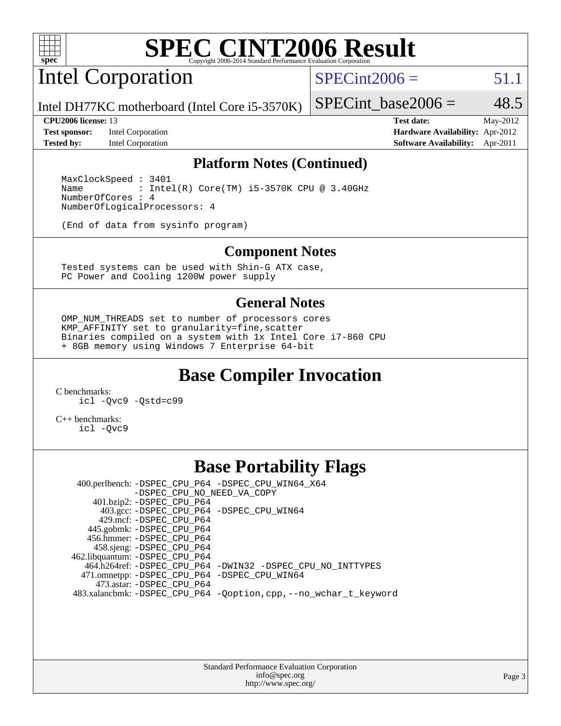

# Intel Corporation

 $SPECint2006 = 51.1$  $SPECint2006 = 51.1$ 

Intel DH77KC motherboard (Intel Core i5-3570K)

**[Test sponsor:](http://www.spec.org/auto/cpu2006/Docs/result-fields.html#Testsponsor)** Intel Corporation **[Hardware Availability:](http://www.spec.org/auto/cpu2006/Docs/result-fields.html#HardwareAvailability)** Apr-2012

SPECint base2006 =  $48.5$ **[CPU2006 license:](http://www.spec.org/auto/cpu2006/Docs/result-fields.html#CPU2006license)** 13 **[Test date:](http://www.spec.org/auto/cpu2006/Docs/result-fields.html#Testdate)** May-2012

**[Tested by:](http://www.spec.org/auto/cpu2006/Docs/result-fields.html#Testedby)** Intel Corporation **[Software Availability:](http://www.spec.org/auto/cpu2006/Docs/result-fields.html#SoftwareAvailability)** Apr-2011

#### **[Platform Notes \(Continued\)](http://www.spec.org/auto/cpu2006/Docs/result-fields.html#PlatformNotes)**

 MaxClockSpeed : 3401 Name : Intel(R) Core(TM) i5-3570K CPU @ 3.40GHz NumberOfCores : 4 NumberOfLogicalProcessors: 4

(End of data from sysinfo program)

#### **[Component Notes](http://www.spec.org/auto/cpu2006/Docs/result-fields.html#ComponentNotes)**

 Tested systems can be used with Shin-G ATX case, PC Power and Cooling 1200W power supply

#### **[General Notes](http://www.spec.org/auto/cpu2006/Docs/result-fields.html#GeneralNotes)**

 OMP\_NUM\_THREADS set to number of processors cores KMP\_AFFINITY set to granularity=fine,scatter Binaries compiled on a system with 1x Intel Core i7-860 CPU + 8GB memory using Windows 7 Enterprise 64-bit

## **[Base Compiler Invocation](http://www.spec.org/auto/cpu2006/Docs/result-fields.html#BaseCompilerInvocation)**

[C benchmarks](http://www.spec.org/auto/cpu2006/Docs/result-fields.html#Cbenchmarks):

[icl -Qvc9](http://www.spec.org/cpu2006/results/res2012q3/cpu2006-20120702-23373.flags.html#user_CCbase_intel_icc_vc9_6b5741b4033b9dc48df324263d9561bc) [-Qstd=c99](http://www.spec.org/cpu2006/results/res2012q3/cpu2006-20120702-23373.flags.html#user_CCbase_intel_compiler_c99_mode_1a3d110e3041b3ad4466830521bdad2a)

[C++ benchmarks:](http://www.spec.org/auto/cpu2006/Docs/result-fields.html#CXXbenchmarks) [icl -Qvc9](http://www.spec.org/cpu2006/results/res2012q3/cpu2006-20120702-23373.flags.html#user_CXXbase_intel_icc_vc9_6b5741b4033b9dc48df324263d9561bc)

## **[Base Portability Flags](http://www.spec.org/auto/cpu2006/Docs/result-fields.html#BasePortabilityFlags)**

 400.perlbench: [-DSPEC\\_CPU\\_P64](http://www.spec.org/cpu2006/results/res2012q3/cpu2006-20120702-23373.flags.html#b400.perlbench_basePORTABILITY_DSPEC_CPU_P64) [-DSPEC\\_CPU\\_WIN64\\_X64](http://www.spec.org/cpu2006/results/res2012q3/cpu2006-20120702-23373.flags.html#b400.perlbench_baseCPORTABILITY_DSPEC_CPU_WIN64_X64) [-DSPEC\\_CPU\\_NO\\_NEED\\_VA\\_COPY](http://www.spec.org/cpu2006/results/res2012q3/cpu2006-20120702-23373.flags.html#b400.perlbench_baseCPORTABILITY_DSPEC_CPU_NO_NEED_VA_COPY) 401.bzip2: [-DSPEC\\_CPU\\_P64](http://www.spec.org/cpu2006/results/res2012q3/cpu2006-20120702-23373.flags.html#suite_basePORTABILITY401_bzip2_DSPEC_CPU_P64) 403.gcc: [-DSPEC\\_CPU\\_P64](http://www.spec.org/cpu2006/results/res2012q3/cpu2006-20120702-23373.flags.html#suite_basePORTABILITY403_gcc_DSPEC_CPU_P64) [-DSPEC\\_CPU\\_WIN64](http://www.spec.org/cpu2006/results/res2012q3/cpu2006-20120702-23373.flags.html#b403.gcc_baseCPORTABILITY_DSPEC_CPU_WIN64) 429.mcf: [-DSPEC\\_CPU\\_P64](http://www.spec.org/cpu2006/results/res2012q3/cpu2006-20120702-23373.flags.html#suite_basePORTABILITY429_mcf_DSPEC_CPU_P64) 445.gobmk: [-DSPEC\\_CPU\\_P64](http://www.spec.org/cpu2006/results/res2012q3/cpu2006-20120702-23373.flags.html#suite_basePORTABILITY445_gobmk_DSPEC_CPU_P64) 456.hmmer: [-DSPEC\\_CPU\\_P64](http://www.spec.org/cpu2006/results/res2012q3/cpu2006-20120702-23373.flags.html#suite_basePORTABILITY456_hmmer_DSPEC_CPU_P64) 458.sjeng: [-DSPEC\\_CPU\\_P64](http://www.spec.org/cpu2006/results/res2012q3/cpu2006-20120702-23373.flags.html#suite_basePORTABILITY458_sjeng_DSPEC_CPU_P64) 462.libquantum: [-DSPEC\\_CPU\\_P64](http://www.spec.org/cpu2006/results/res2012q3/cpu2006-20120702-23373.flags.html#suite_basePORTABILITY462_libquantum_DSPEC_CPU_P64) 464.h264ref: [-DSPEC\\_CPU\\_P64](http://www.spec.org/cpu2006/results/res2012q3/cpu2006-20120702-23373.flags.html#suite_basePORTABILITY464_h264ref_DSPEC_CPU_P64) [-DWIN32](http://www.spec.org/cpu2006/results/res2012q3/cpu2006-20120702-23373.flags.html#b464.h264ref_baseCPORTABILITY_DWIN32) [-DSPEC\\_CPU\\_NO\\_INTTYPES](http://www.spec.org/cpu2006/results/res2012q3/cpu2006-20120702-23373.flags.html#b464.h264ref_baseCPORTABILITY_DSPEC_CPU_NO_INTTYPES) 471.omnetpp: [-DSPEC\\_CPU\\_P64](http://www.spec.org/cpu2006/results/res2012q3/cpu2006-20120702-23373.flags.html#suite_basePORTABILITY471_omnetpp_DSPEC_CPU_P64) [-DSPEC\\_CPU\\_WIN64](http://www.spec.org/cpu2006/results/res2012q3/cpu2006-20120702-23373.flags.html#b471.omnetpp_baseCXXPORTABILITY_DSPEC_CPU_WIN64) 473.astar: [-DSPEC\\_CPU\\_P64](http://www.spec.org/cpu2006/results/res2012q3/cpu2006-20120702-23373.flags.html#suite_basePORTABILITY473_astar_DSPEC_CPU_P64) 483.xalancbmk: [-DSPEC\\_CPU\\_P64](http://www.spec.org/cpu2006/results/res2012q3/cpu2006-20120702-23373.flags.html#suite_basePORTABILITY483_xalancbmk_DSPEC_CPU_P64) [-Qoption,cpp,--no\\_wchar\\_t\\_keyword](http://www.spec.org/cpu2006/results/res2012q3/cpu2006-20120702-23373.flags.html#user_baseCXXPORTABILITY483_xalancbmk_f-no_wchar_t_keyword_ec0ad4495a16b4e858bfcb29d949d25d)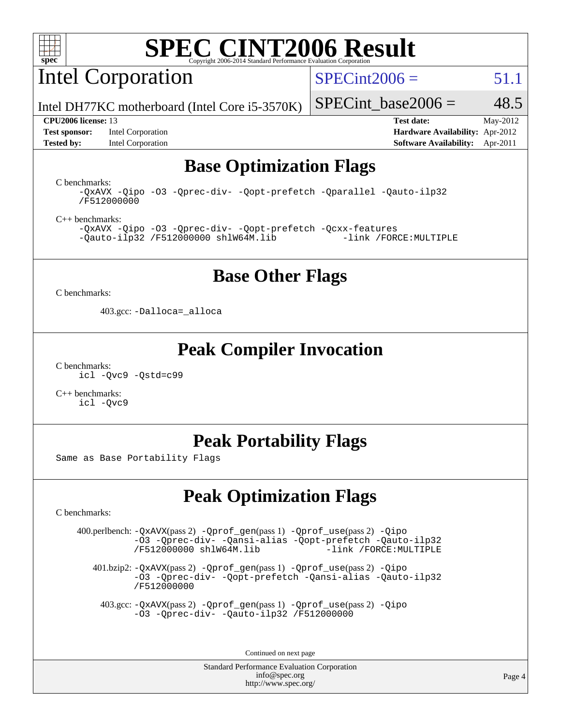

Intel Corporation

 $SPECint2006 = 51.1$  $SPECint2006 = 51.1$ 

Intel DH77KC motherboard (Intel Core i5-3570K)

**[Test sponsor:](http://www.spec.org/auto/cpu2006/Docs/result-fields.html#Testsponsor)** Intel Corporation **[Hardware Availability:](http://www.spec.org/auto/cpu2006/Docs/result-fields.html#HardwareAvailability)** Apr-2012 **[Tested by:](http://www.spec.org/auto/cpu2006/Docs/result-fields.html#Testedby)** Intel Corporation **[Software Availability:](http://www.spec.org/auto/cpu2006/Docs/result-fields.html#SoftwareAvailability)** Apr-2011

SPECint base2006 =  $48.5$ 

**[CPU2006 license:](http://www.spec.org/auto/cpu2006/Docs/result-fields.html#CPU2006license)** 13 **[Test date:](http://www.spec.org/auto/cpu2006/Docs/result-fields.html#Testdate)** May-2012

## **[Base Optimization Flags](http://www.spec.org/auto/cpu2006/Docs/result-fields.html#BaseOptimizationFlags)**

[C benchmarks](http://www.spec.org/auto/cpu2006/Docs/result-fields.html#Cbenchmarks): [-QxAVX](http://www.spec.org/cpu2006/results/res2012q3/cpu2006-20120702-23373.flags.html#user_CCbase_f-QxAVX) [-Qipo](http://www.spec.org/cpu2006/results/res2012q3/cpu2006-20120702-23373.flags.html#user_CCbase_f-Qipo) [-O3](http://www.spec.org/cpu2006/results/res2012q3/cpu2006-20120702-23373.flags.html#user_CCbase_f-O3) [-Qprec-div-](http://www.spec.org/cpu2006/results/res2012q3/cpu2006-20120702-23373.flags.html#user_CCbase_f-Qprec-div-) [-Qopt-prefetch](http://www.spec.org/cpu2006/results/res2012q3/cpu2006-20120702-23373.flags.html#user_CCbase_f-Qprefetch_37c211608666b9dff9380561f602f0a8) [-Qparallel](http://www.spec.org/cpu2006/results/res2012q3/cpu2006-20120702-23373.flags.html#user_CCbase_f-Qparallel) [-Qauto-ilp32](http://www.spec.org/cpu2006/results/res2012q3/cpu2006-20120702-23373.flags.html#user_CCbase_f-Qauto-ilp32) [/F512000000](http://www.spec.org/cpu2006/results/res2012q3/cpu2006-20120702-23373.flags.html#user_CCbase_set_stack_space_98438a10eb60aa5f35f4c79d9b9b27b1)

[C++ benchmarks:](http://www.spec.org/auto/cpu2006/Docs/result-fields.html#CXXbenchmarks) [-QxAVX](http://www.spec.org/cpu2006/results/res2012q3/cpu2006-20120702-23373.flags.html#user_CXXbase_f-QxAVX) [-Qipo](http://www.spec.org/cpu2006/results/res2012q3/cpu2006-20120702-23373.flags.html#user_CXXbase_f-Qipo) [-O3](http://www.spec.org/cpu2006/results/res2012q3/cpu2006-20120702-23373.flags.html#user_CXXbase_f-O3) [-Qprec-div-](http://www.spec.org/cpu2006/results/res2012q3/cpu2006-20120702-23373.flags.html#user_CXXbase_f-Qprec-div-) [-Qopt-prefetch](http://www.spec.org/cpu2006/results/res2012q3/cpu2006-20120702-23373.flags.html#user_CXXbase_f-Qprefetch_37c211608666b9dff9380561f602f0a8) [-Qcxx-features](http://www.spec.org/cpu2006/results/res2012q3/cpu2006-20120702-23373.flags.html#user_CXXbase_f-Qcxx_features_dbf36c8a6dba956e22f1645e4dcd4d98)  $-Qauto-ilp32 /F512000000$  $-Qauto-ilp32 /F512000000$  $-Qauto-ilp32 /F512000000$  [shlW64M.lib](http://www.spec.org/cpu2006/results/res2012q3/cpu2006-20120702-23373.flags.html#user_CXXbase_SmartHeap64_c4f7f76711bdf8c0633a5c1edf6e5396)

#### **[Base Other Flags](http://www.spec.org/auto/cpu2006/Docs/result-fields.html#BaseOtherFlags)**

[C benchmarks](http://www.spec.org/auto/cpu2006/Docs/result-fields.html#Cbenchmarks):

403.gcc: [-Dalloca=\\_alloca](http://www.spec.org/cpu2006/results/res2012q3/cpu2006-20120702-23373.flags.html#b403.gcc_baseEXTRA_CFLAGS_Dalloca_be3056838c12de2578596ca5467af7f3)

#### **[Peak Compiler Invocation](http://www.spec.org/auto/cpu2006/Docs/result-fields.html#PeakCompilerInvocation)**

[C benchmarks](http://www.spec.org/auto/cpu2006/Docs/result-fields.html#Cbenchmarks): [icl -Qvc9](http://www.spec.org/cpu2006/results/res2012q3/cpu2006-20120702-23373.flags.html#user_CCpeak_intel_icc_vc9_6b5741b4033b9dc48df324263d9561bc) [-Qstd=c99](http://www.spec.org/cpu2006/results/res2012q3/cpu2006-20120702-23373.flags.html#user_CCpeak_intel_compiler_c99_mode_1a3d110e3041b3ad4466830521bdad2a)

[C++ benchmarks:](http://www.spec.org/auto/cpu2006/Docs/result-fields.html#CXXbenchmarks) [icl -Qvc9](http://www.spec.org/cpu2006/results/res2012q3/cpu2006-20120702-23373.flags.html#user_CXXpeak_intel_icc_vc9_6b5741b4033b9dc48df324263d9561bc)

## **[Peak Portability Flags](http://www.spec.org/auto/cpu2006/Docs/result-fields.html#PeakPortabilityFlags)**

Same as Base Portability Flags

## **[Peak Optimization Flags](http://www.spec.org/auto/cpu2006/Docs/result-fields.html#PeakOptimizationFlags)**

[C benchmarks](http://www.spec.org/auto/cpu2006/Docs/result-fields.html#Cbenchmarks):

 400.perlbench: [-QxAVX](http://www.spec.org/cpu2006/results/res2012q3/cpu2006-20120702-23373.flags.html#user_peakPASS2_CFLAGSPASS2_LDFLAGS400_perlbench_f-QxAVX)(pass 2) [-Qprof\\_gen](http://www.spec.org/cpu2006/results/res2012q3/cpu2006-20120702-23373.flags.html#user_peakPASS1_CFLAGSPASS1_LDFLAGS400_perlbench_Qprof_gen)(pass 1) [-Qprof\\_use](http://www.spec.org/cpu2006/results/res2012q3/cpu2006-20120702-23373.flags.html#user_peakPASS2_CFLAGSPASS2_LDFLAGS400_perlbench_Qprof_use)(pass 2) [-Qipo](http://www.spec.org/cpu2006/results/res2012q3/cpu2006-20120702-23373.flags.html#user_peakOPTIMIZE400_perlbench_f-Qipo) [-O3](http://www.spec.org/cpu2006/results/res2012q3/cpu2006-20120702-23373.flags.html#user_peakOPTIMIZE400_perlbench_f-O3) [-Qprec-div-](http://www.spec.org/cpu2006/results/res2012q3/cpu2006-20120702-23373.flags.html#user_peakOPTIMIZE400_perlbench_f-Qprec-div-) [-Qansi-alias](http://www.spec.org/cpu2006/results/res2012q3/cpu2006-20120702-23373.flags.html#user_peakOPTIMIZE400_perlbench_f-Qansi-alias) [-Qopt-prefetch](http://www.spec.org/cpu2006/results/res2012q3/cpu2006-20120702-23373.flags.html#user_peakOPTIMIZE400_perlbench_f-Qprefetch_37c211608666b9dff9380561f602f0a8) [-Qauto-ilp32](http://www.spec.org/cpu2006/results/res2012q3/cpu2006-20120702-23373.flags.html#user_peakCOPTIMIZE400_perlbench_f-Qauto-ilp32)  $/F512000000$  [shlW64M.lib](http://www.spec.org/cpu2006/results/res2012q3/cpu2006-20120702-23373.flags.html#user_peakEXTRA_LIBS400_perlbench_SmartHeap64_c4f7f76711bdf8c0633a5c1edf6e5396)

 401.bzip2: [-QxAVX](http://www.spec.org/cpu2006/results/res2012q3/cpu2006-20120702-23373.flags.html#user_peakPASS2_CFLAGSPASS2_LDFLAGS401_bzip2_f-QxAVX)(pass 2) [-Qprof\\_gen](http://www.spec.org/cpu2006/results/res2012q3/cpu2006-20120702-23373.flags.html#user_peakPASS1_CFLAGSPASS1_LDFLAGS401_bzip2_Qprof_gen)(pass 1) [-Qprof\\_use](http://www.spec.org/cpu2006/results/res2012q3/cpu2006-20120702-23373.flags.html#user_peakPASS2_CFLAGSPASS2_LDFLAGS401_bzip2_Qprof_use)(pass 2) [-Qipo](http://www.spec.org/cpu2006/results/res2012q3/cpu2006-20120702-23373.flags.html#user_peakOPTIMIZE401_bzip2_f-Qipo) [-O3](http://www.spec.org/cpu2006/results/res2012q3/cpu2006-20120702-23373.flags.html#user_peakOPTIMIZE401_bzip2_f-O3) [-Qprec-div-](http://www.spec.org/cpu2006/results/res2012q3/cpu2006-20120702-23373.flags.html#user_peakOPTIMIZE401_bzip2_f-Qprec-div-) [-Qopt-prefetch](http://www.spec.org/cpu2006/results/res2012q3/cpu2006-20120702-23373.flags.html#user_peakOPTIMIZE401_bzip2_f-Qprefetch_37c211608666b9dff9380561f602f0a8) [-Qansi-alias](http://www.spec.org/cpu2006/results/res2012q3/cpu2006-20120702-23373.flags.html#user_peakOPTIMIZE401_bzip2_f-Qansi-alias) [-Qauto-ilp32](http://www.spec.org/cpu2006/results/res2012q3/cpu2006-20120702-23373.flags.html#user_peakCOPTIMIZE401_bzip2_f-Qauto-ilp32) [/F512000000](http://www.spec.org/cpu2006/results/res2012q3/cpu2006-20120702-23373.flags.html#user_peakEXTRA_LDFLAGS401_bzip2_set_stack_space_98438a10eb60aa5f35f4c79d9b9b27b1)

 403.gcc: [-QxAVX](http://www.spec.org/cpu2006/results/res2012q3/cpu2006-20120702-23373.flags.html#user_peakPASS2_CFLAGSPASS2_LDFLAGS403_gcc_f-QxAVX)(pass 2) [-Qprof\\_gen](http://www.spec.org/cpu2006/results/res2012q3/cpu2006-20120702-23373.flags.html#user_peakPASS1_CFLAGSPASS1_LDFLAGS403_gcc_Qprof_gen)(pass 1) [-Qprof\\_use](http://www.spec.org/cpu2006/results/res2012q3/cpu2006-20120702-23373.flags.html#user_peakPASS2_CFLAGSPASS2_LDFLAGS403_gcc_Qprof_use)(pass 2) [-Qipo](http://www.spec.org/cpu2006/results/res2012q3/cpu2006-20120702-23373.flags.html#user_peakOPTIMIZE403_gcc_f-Qipo) [-O3](http://www.spec.org/cpu2006/results/res2012q3/cpu2006-20120702-23373.flags.html#user_peakOPTIMIZE403_gcc_f-O3) [-Qprec-div-](http://www.spec.org/cpu2006/results/res2012q3/cpu2006-20120702-23373.flags.html#user_peakOPTIMIZE403_gcc_f-Qprec-div-) [-Qauto-ilp32](http://www.spec.org/cpu2006/results/res2012q3/cpu2006-20120702-23373.flags.html#user_peakCOPTIMIZE403_gcc_f-Qauto-ilp32) [/F512000000](http://www.spec.org/cpu2006/results/res2012q3/cpu2006-20120702-23373.flags.html#user_peakEXTRA_LDFLAGS403_gcc_set_stack_space_98438a10eb60aa5f35f4c79d9b9b27b1)

Continued on next page

Standard Performance Evaluation Corporation [info@spec.org](mailto:info@spec.org) <http://www.spec.org/>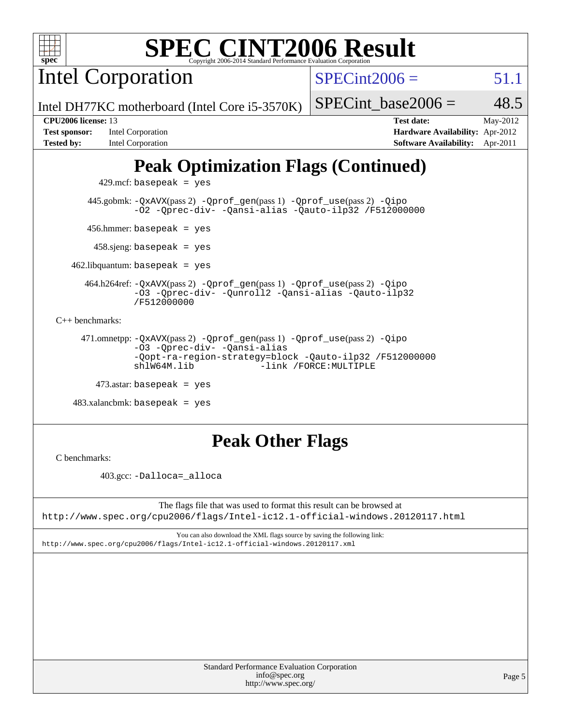

Intel Corporation

 $SPECint2006 = 51.1$  $SPECint2006 = 51.1$ 

Intel DH77KC motherboard (Intel Core i5-3570K)

| <b>Test sponsor:</b> | Intel Corporation |
|----------------------|-------------------|
| <b>Tested by:</b>    | Intel Corporation |

SPECint base2006 =  $48.5$ 

**[CPU2006 license:](http://www.spec.org/auto/cpu2006/Docs/result-fields.html#CPU2006license)** 13 **[Test date:](http://www.spec.org/auto/cpu2006/Docs/result-fields.html#Testdate)** May-2012 **[Hardware Availability:](http://www.spec.org/auto/cpu2006/Docs/result-fields.html#HardwareAvailability)** Apr-2012 **[Software Availability:](http://www.spec.org/auto/cpu2006/Docs/result-fields.html#SoftwareAvailability)** Apr-2011

# **[Peak Optimization Flags \(Continued\)](http://www.spec.org/auto/cpu2006/Docs/result-fields.html#PeakOptimizationFlags)**

 $429$ .mcf: basepeak = yes

 445.gobmk: [-QxAVX](http://www.spec.org/cpu2006/results/res2012q3/cpu2006-20120702-23373.flags.html#user_peakPASS2_CFLAGSPASS2_LDFLAGS445_gobmk_f-QxAVX)(pass 2) [-Qprof\\_gen](http://www.spec.org/cpu2006/results/res2012q3/cpu2006-20120702-23373.flags.html#user_peakPASS1_CFLAGSPASS1_LDFLAGS445_gobmk_Qprof_gen)(pass 1) [-Qprof\\_use](http://www.spec.org/cpu2006/results/res2012q3/cpu2006-20120702-23373.flags.html#user_peakPASS2_CFLAGSPASS2_LDFLAGS445_gobmk_Qprof_use)(pass 2) [-Qipo](http://www.spec.org/cpu2006/results/res2012q3/cpu2006-20120702-23373.flags.html#user_peakOPTIMIZE445_gobmk_f-Qipo) [-O2](http://www.spec.org/cpu2006/results/res2012q3/cpu2006-20120702-23373.flags.html#user_peakOPTIMIZE445_gobmk_f-O2) [-Qprec-div-](http://www.spec.org/cpu2006/results/res2012q3/cpu2006-20120702-23373.flags.html#user_peakOPTIMIZE445_gobmk_f-Qprec-div-) [-Qansi-alias](http://www.spec.org/cpu2006/results/res2012q3/cpu2006-20120702-23373.flags.html#user_peakOPTIMIZE445_gobmk_f-Qansi-alias) [-Qauto-ilp32](http://www.spec.org/cpu2006/results/res2012q3/cpu2006-20120702-23373.flags.html#user_peakCOPTIMIZE445_gobmk_f-Qauto-ilp32) [/F512000000](http://www.spec.org/cpu2006/results/res2012q3/cpu2006-20120702-23373.flags.html#user_peakEXTRA_LDFLAGS445_gobmk_set_stack_space_98438a10eb60aa5f35f4c79d9b9b27b1)

456.hmmer: basepeak = yes

458.sjeng: basepeak = yes

 $462$ .libquantum: basepeak = yes

 464.h264ref: [-QxAVX](http://www.spec.org/cpu2006/results/res2012q3/cpu2006-20120702-23373.flags.html#user_peakPASS2_CFLAGSPASS2_LDFLAGS464_h264ref_f-QxAVX)(pass 2) [-Qprof\\_gen](http://www.spec.org/cpu2006/results/res2012q3/cpu2006-20120702-23373.flags.html#user_peakPASS1_CFLAGSPASS1_LDFLAGS464_h264ref_Qprof_gen)(pass 1) [-Qprof\\_use](http://www.spec.org/cpu2006/results/res2012q3/cpu2006-20120702-23373.flags.html#user_peakPASS2_CFLAGSPASS2_LDFLAGS464_h264ref_Qprof_use)(pass 2) [-Qipo](http://www.spec.org/cpu2006/results/res2012q3/cpu2006-20120702-23373.flags.html#user_peakOPTIMIZE464_h264ref_f-Qipo) [-O3](http://www.spec.org/cpu2006/results/res2012q3/cpu2006-20120702-23373.flags.html#user_peakOPTIMIZE464_h264ref_f-O3) [-Qprec-div-](http://www.spec.org/cpu2006/results/res2012q3/cpu2006-20120702-23373.flags.html#user_peakOPTIMIZE464_h264ref_f-Qprec-div-) [-Qunroll2](http://www.spec.org/cpu2006/results/res2012q3/cpu2006-20120702-23373.flags.html#user_peakOPTIMIZE464_h264ref_f-Qunroll_1d9456aa650e77fc2a0cf43cef3fa08c) [-Qansi-alias](http://www.spec.org/cpu2006/results/res2012q3/cpu2006-20120702-23373.flags.html#user_peakOPTIMIZE464_h264ref_f-Qansi-alias) [-Qauto-ilp32](http://www.spec.org/cpu2006/results/res2012q3/cpu2006-20120702-23373.flags.html#user_peakCOPTIMIZE464_h264ref_f-Qauto-ilp32) [/F512000000](http://www.spec.org/cpu2006/results/res2012q3/cpu2006-20120702-23373.flags.html#user_peakEXTRA_LDFLAGS464_h264ref_set_stack_space_98438a10eb60aa5f35f4c79d9b9b27b1)

[C++ benchmarks:](http://www.spec.org/auto/cpu2006/Docs/result-fields.html#CXXbenchmarks)

 471.omnetpp: [-QxAVX](http://www.spec.org/cpu2006/results/res2012q3/cpu2006-20120702-23373.flags.html#user_peakPASS2_CXXFLAGSPASS2_LDFLAGS471_omnetpp_f-QxAVX)(pass 2) [-Qprof\\_gen](http://www.spec.org/cpu2006/results/res2012q3/cpu2006-20120702-23373.flags.html#user_peakPASS1_CXXFLAGSPASS1_LDFLAGS471_omnetpp_Qprof_gen)(pass 1) [-Qprof\\_use](http://www.spec.org/cpu2006/results/res2012q3/cpu2006-20120702-23373.flags.html#user_peakPASS2_CXXFLAGSPASS2_LDFLAGS471_omnetpp_Qprof_use)(pass 2) [-Qipo](http://www.spec.org/cpu2006/results/res2012q3/cpu2006-20120702-23373.flags.html#user_peakOPTIMIZE471_omnetpp_f-Qipo) [-O3](http://www.spec.org/cpu2006/results/res2012q3/cpu2006-20120702-23373.flags.html#user_peakOPTIMIZE471_omnetpp_f-O3) [-Qprec-div-](http://www.spec.org/cpu2006/results/res2012q3/cpu2006-20120702-23373.flags.html#user_peakOPTIMIZE471_omnetpp_f-Qprec-div-) [-Qansi-alias](http://www.spec.org/cpu2006/results/res2012q3/cpu2006-20120702-23373.flags.html#user_peakOPTIMIZE471_omnetpp_f-Qansi-alias) [-Qopt-ra-region-strategy=block](http://www.spec.org/cpu2006/results/res2012q3/cpu2006-20120702-23373.flags.html#user_peakOPTIMIZE471_omnetpp_f-Qopt-ra-region-strategy_d2240e80a5d9053a1fd400255dbf4159) [-Qauto-ilp32](http://www.spec.org/cpu2006/results/res2012q3/cpu2006-20120702-23373.flags.html#user_peakCXXOPTIMIZE471_omnetpp_f-Qauto-ilp32) [/F512000000](http://www.spec.org/cpu2006/results/res2012q3/cpu2006-20120702-23373.flags.html#user_peakEXTRA_LDFLAGS471_omnetpp_set_stack_space_98438a10eb60aa5f35f4c79d9b9b27b1) -link /FORCE: MULTIPLE

 $473$ .astar: basepeak = yes

 $483.xalanchmk: basepeak = yes$ 

## **[Peak Other Flags](http://www.spec.org/auto/cpu2006/Docs/result-fields.html#PeakOtherFlags)**

[C benchmarks](http://www.spec.org/auto/cpu2006/Docs/result-fields.html#Cbenchmarks):

403.gcc: [-Dalloca=\\_alloca](http://www.spec.org/cpu2006/results/res2012q3/cpu2006-20120702-23373.flags.html#b403.gcc_peakEXTRA_CFLAGS_Dalloca_be3056838c12de2578596ca5467af7f3)

The flags file that was used to format this result can be browsed at <http://www.spec.org/cpu2006/flags/Intel-ic12.1-official-windows.20120117.html>

You can also download the XML flags source by saving the following link: <http://www.spec.org/cpu2006/flags/Intel-ic12.1-official-windows.20120117.xml>